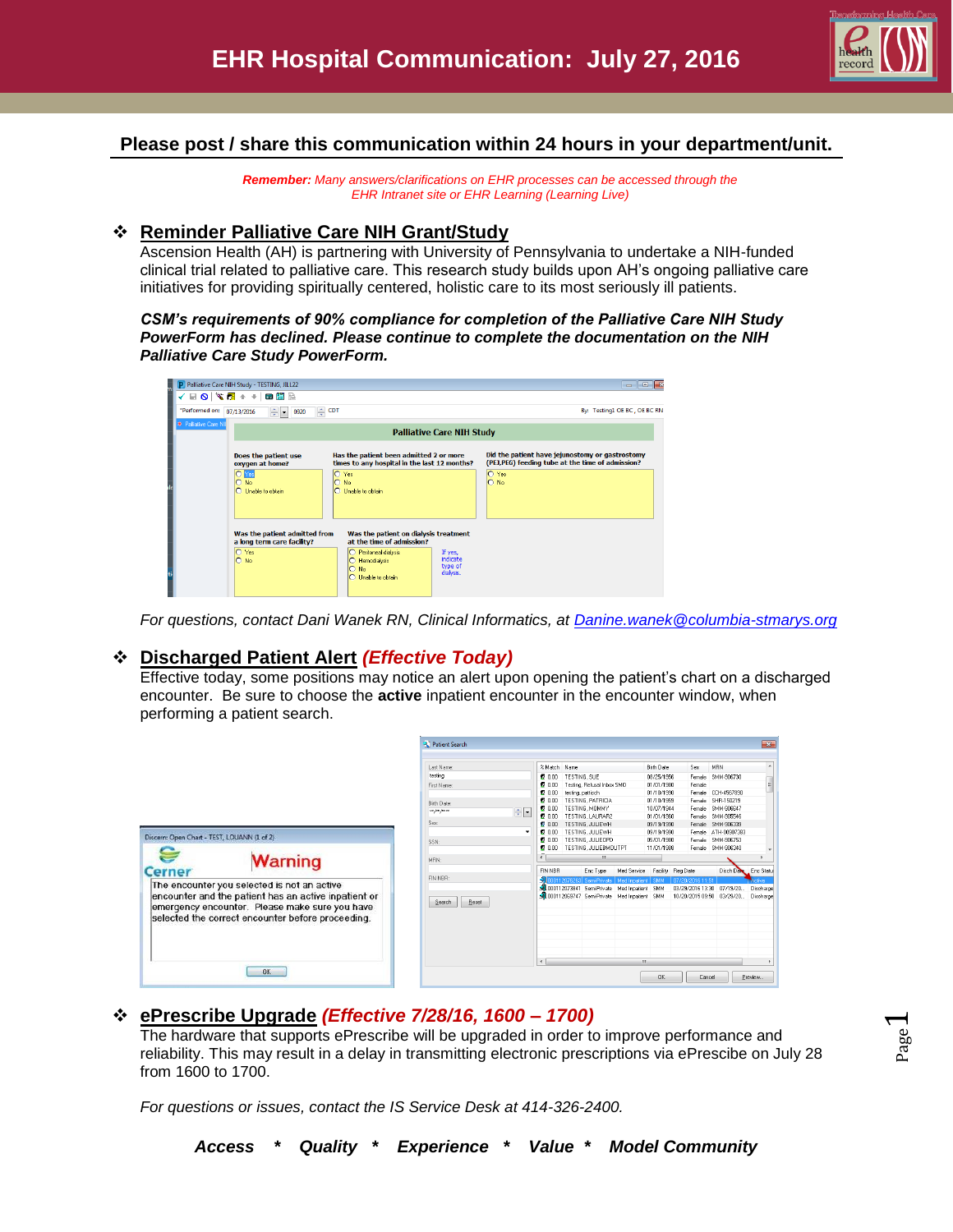

### **Please post / share this communication within 24 hours in your department/unit.**

*Remember: Many answers/clarifications on EHR processes can be accessed through the EHR Intranet site or EHR Learning (Learning Live)*

#### **Reminder Palliative Care NIH Grant/Study**

Ascension Health (AH) is partnering with University of Pennsylvania to undertake a NIH-funded clinical trial related to palliative care. This research study builds upon AH's ongoing palliative care initiatives for providing spiritually centered, holistic care to its most seriously ill patients.

*CSM's requirements of 90% compliance for completion of the Palliative Care NIH Study PowerForm has declined. Please continue to complete the documentation on the NIH Palliative Care Study PowerForm.*

| Palliative Care NIH Study - TESTING, JILL22                                                                                                                                                                                                                                                                 |                                                                                                                                                    | $\Box$<br>$\Box$                                                                                    |  |  |  |  |  |  |  |  |
|-------------------------------------------------------------------------------------------------------------------------------------------------------------------------------------------------------------------------------------------------------------------------------------------------------------|----------------------------------------------------------------------------------------------------------------------------------------------------|-----------------------------------------------------------------------------------------------------|--|--|--|--|--|--|--|--|
| $\blacksquare \hspace{0.1cm} \blacksquare \hspace{0.1cm} \blacksquare \hspace{0.1cm} \blacksquare \hspace{0.1cm} \blacksquare \hspace{0.1cm} \blacksquare \hspace{0.1cm} \blacksquare \hspace{0.1cm} \blacksquare \hspace{0.1cm} \blacksquare \hspace{0.1cm} \blacksquare \hspace{0.1cm} \blacksquare$<br>✓ |                                                                                                                                                    |                                                                                                     |  |  |  |  |  |  |  |  |
| *Performed on: 07/13/2016<br>÷+<br>0920                                                                                                                                                                                                                                                                     | <b>OT</b>                                                                                                                                          | By: Testing1 OE BC, OE BC RN                                                                        |  |  |  |  |  |  |  |  |
| * Paliative Care NII                                                                                                                                                                                                                                                                                        |                                                                                                                                                    |                                                                                                     |  |  |  |  |  |  |  |  |
|                                                                                                                                                                                                                                                                                                             | <b>Palliative Care NIH Study</b>                                                                                                                   |                                                                                                     |  |  |  |  |  |  |  |  |
| Does the patient use<br>oxygen at home?                                                                                                                                                                                                                                                                     | Has the patient been admitted 2 or more<br>times to any hospital in the last 12 months?                                                            | Did the patient have jejunostomy or gastrostomy<br>(PEJ,PEG) feeding tube at the time of admission? |  |  |  |  |  |  |  |  |
| Olyes<br>$\circ$<br><b>No</b><br>O Unable to obtain                                                                                                                                                                                                                                                         | O Yes<br>$\Omega$<br>No<br>C Unable to obtain                                                                                                      | O Yes<br>$O$ No                                                                                     |  |  |  |  |  |  |  |  |
| Was the patient admitted from<br>a long term care facility?                                                                                                                                                                                                                                                 | Was the patient on dialysis treatment<br>at the time of admission?                                                                                 |                                                                                                     |  |  |  |  |  |  |  |  |
| O Yes<br>$O$ No                                                                                                                                                                                                                                                                                             | Peritoneal dialysis<br>$\Omega$<br>If yes,<br><b>indicate</b><br>Hemodialysis<br>⊙<br>type of<br>No<br>$\Omega$<br>dialysis.<br>C Unable to obtain |                                                                                                     |  |  |  |  |  |  |  |  |

*For questions, contact Dani Wanek RN, Clinical Informatics, at [Danine.wanek@columbia-stmarys.org](mailto:Danine.wanek@columbia-stmarys.org)*

#### **Discharged Patient Alert** *(Effective Today)*

Effective today, some positions may notice an alert upon opening the patient's chart on a discharged encounter. Be sure to choose the **active** inpatient encounter in the encounter window, when performing a patient search.

|                                                                                                                                                                                                                                               | Patient Search<br>Last Name:<br>testing                                                    | $\overline{\mathbf{X}}$<br>% Match Name<br><b>Birth Date</b><br><b>Sex</b><br>MRN<br>TESTING, SUE<br>0.00<br>08/25/1956<br>SMM-906730<br>Female                                                                                                                                                                                                                                                                                                                                                                           |
|-----------------------------------------------------------------------------------------------------------------------------------------------------------------------------------------------------------------------------------------------|--------------------------------------------------------------------------------------------|---------------------------------------------------------------------------------------------------------------------------------------------------------------------------------------------------------------------------------------------------------------------------------------------------------------------------------------------------------------------------------------------------------------------------------------------------------------------------------------------------------------------------|
| Discern: Open Chart - TEST, LOUANN (1 of 2)                                                                                                                                                                                                   | First Name:<br>Birth Date:<br>$\div$ $\vert \cdot \vert$<br>$x \in \mathbb{R}$<br>Sex<br>٠ | Testing, Refusal Inbox SMD<br>Female<br>2000<br>01/01/1980<br>20.00<br>testing, patticch<br>Female CCH-4567890<br>01/10/1990<br>TESTING, PATRICIA<br>01/10/1959<br>SHR-150219<br>600<br>Female<br>TESTING. MOMMY<br>10/07/1944<br>SMM-906647<br>2000<br>Female<br>6000<br>TESTING LAURAR2<br>01/01/1960<br>Female SMM-905546<br>TESTING. JULIEWH<br>09/19/1990<br>Female SMM-906339<br>200<br>TESTING, JULIEWH<br>09/19/1990<br>Female ATH-00907383<br>2000                                                               |
| <b>Warning</b><br><b>Cerner</b><br>The encounter you selected is not an active<br>encounter and the patient has an active inpatient or<br>emergency encounter. Please make sure you have<br>selected the correct encounter before proceeding. | SSN:<br>MBN:<br>FIN NBR:<br>Search<br>Reset                                                | TESTING.JULIEOPD<br>2000<br>05/01/1980<br>Female SMM-906753<br>TESTING, JULIEBMOUTPT<br>Female SMM-906340<br>11/01/1988<br>600<br>$\epsilon$<br>m.<br>FIN NBR<br>Disch Date<br>Enc Type<br>Facility Reg Date<br>Med Service<br>Enc Statu<br>3.1000112076263 Semi-Private   Med Inpatient   SMM<br>  07/20/2016 11:51<br>ctive:<br>34 000112073841 Semi-Private Med Inpatient SMM<br>03/29/2016 13:30<br>07/19/20<br>Discharge<br>St 000112069747 Semi-Private Med Inpatient SMM<br>10/20/2015 09:50 03/29/20<br>Discharge |
| DK.                                                                                                                                                                                                                                           |                                                                                            | m<br>$\epsilon$<br><b>OK</b><br>Preview.<br>Cancel                                                                                                                                                                                                                                                                                                                                                                                                                                                                        |

## **ePrescribe Upgrade** *(Effective 7/28/16, 1600 – 1700)*

The hardware that supports ePrescribe will be upgraded in order to improve performance and reliability. This may result in a delay in transmitting electronic prescriptions via ePrescibe on July 28 from 1600 to 1700.

*For questions or issues, contact the IS Service Desk at 414-326-2400.*

Page  $\overline{\phantom{0}}$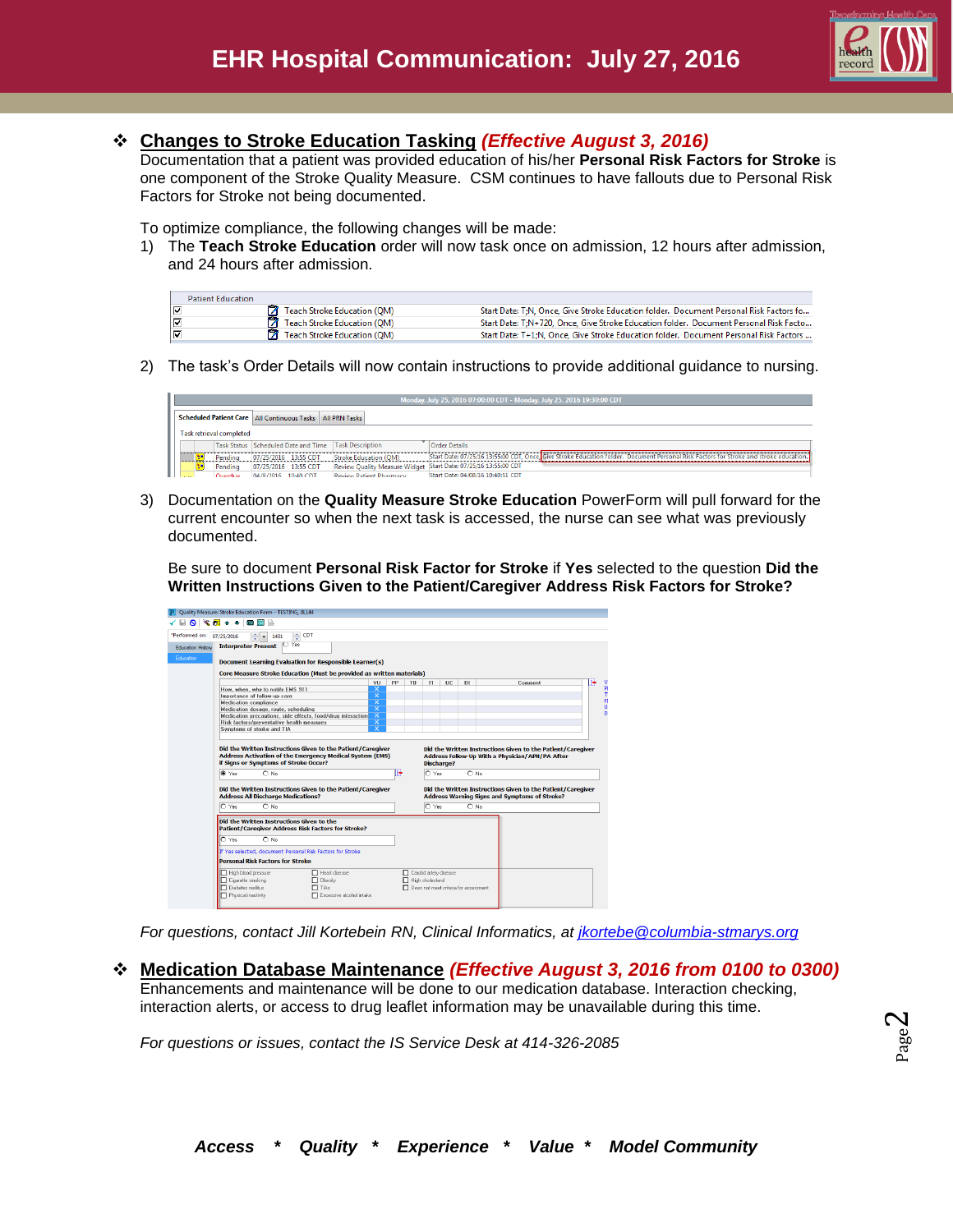

### **Changes to Stroke Education Tasking** *(Effective August 3, 2016)*

Documentation that a patient was provided education of his/her **Personal Risk Factors for Stroke** is one component of the Stroke Quality Measure. CSM continues to have fallouts due to Personal Risk Factors for Stroke not being documented.

To optimize compliance, the following changes will be made:

1) The **Teach Stroke Education** order will now task once on admission, 12 hours after admission, and 24 hours after admission.

| <b>Patient Education</b> |                                      |                                                                                        |
|--------------------------|--------------------------------------|----------------------------------------------------------------------------------------|
| ∣⊽                       | <b>7</b> Teach Stroke Education (OM) | Start Date: T:N, Once, Give Stroke Education folder. Document Personal Risk Factors fo |
| ⊽                        | Teach Stroke Education (QM)          | Start Date: T:N+720. Once. Give Stroke Education folder. Document Personal Risk Facto  |
| ⊽                        | <b>7</b> Teach Stroke Education (QM) | Start Date: T+1;N, Once, Give Stroke Education folder. Document Personal Risk Factors  |

2) The task's Order Details will now contain instructions to provide additional guidance to nursing.

|  |   |                          |                     |                                                                        |                                                      | Monday, July 25, 2016 07:00:00 CDT - Monday, July 25, 2016 19:30:00 CDT                                                                |
|--|---|--------------------------|---------------------|------------------------------------------------------------------------|------------------------------------------------------|----------------------------------------------------------------------------------------------------------------------------------------|
|  |   |                          |                     | <b>Scheduled Patient Care   All Continuous Tasks   All PRN Tasks  </b> |                                                      |                                                                                                                                        |
|  |   | Task retrieval completed |                     |                                                                        |                                                      |                                                                                                                                        |
|  |   |                          |                     |                                                                        | Task Status Scheduled Date and Time Task Description | Order Details                                                                                                                          |
|  |   | Pendina                  |                     | 07/25/2016 13:55 CDT                                                   | Stroke Education (OM)                                | Start Date: 07/25/16 13:55:00 CDT, Once, Give Stroke Education folder. Document Personal Risk Factors for Stroke and stroke education. |
|  | × | Pendina                  |                     | 07/25/2016 13:55 CDT                                                   |                                                      | Review Quality Measure Widget Start Date: 07/25/16 13:55:00 CDT                                                                        |
|  |   | Overdue                  | 04/8/2016 10:40 CDT |                                                                        | <b>Review Datient Dharmacy</b>                       | Start Date: 04/08/16 10:40:51 CDT                                                                                                      |

3) Documentation on the **Quality Measure Stroke Education** PowerForm will pull forward for the current encounter so when the next task is accessed, the nurse can see what was previously documented.

Be sure to document **Personal Risk Factor for Stroke** if **Yes** selected to the question **Did the Written Instructions Given to the Patient/Caregiver Address Risk Factors for Stroke?**

| *Performed on:<br>07/25/2016<br><b>Interpreter Present</b> | $\div$ CDT<br>슦<br>1401<br>l.<br><b>U</b> Yes                                                                                                                                      |                         |     |                        |                            |     |               |                                                                                                                |  |
|------------------------------------------------------------|------------------------------------------------------------------------------------------------------------------------------------------------------------------------------------|-------------------------|-----|------------------------|----------------------------|-----|---------------|----------------------------------------------------------------------------------------------------------------|--|
| <b>Education History</b>                                   |                                                                                                                                                                                    |                         |     |                        |                            |     |               |                                                                                                                |  |
|                                                            | <b>Document Learning Evaluation for Responsible Learner(s)</b>                                                                                                                     |                         |     |                        |                            |     |               |                                                                                                                |  |
|                                                            | Core Measure Stroke Education (Must be provided as written materials)                                                                                                              |                         |     |                        |                            |     |               |                                                                                                                |  |
|                                                            |                                                                                                                                                                                    | VU                      | PP  | TB                     | FI.                        | HC. | D1            | Comment                                                                                                        |  |
|                                                            | How, when, why to notify EMS 911                                                                                                                                                   | ×                       |     |                        |                            |     |               |                                                                                                                |  |
|                                                            | Importance of follow-up care                                                                                                                                                       | $\overline{\mathsf{x}}$ |     |                        |                            |     |               |                                                                                                                |  |
| Medication compliance                                      |                                                                                                                                                                                    | $\overline{\mathsf{x}}$ |     |                        |                            |     |               |                                                                                                                |  |
|                                                            | Medication dosage, route, scheduling                                                                                                                                               | $\overline{\mathbf{x}}$ |     |                        |                            |     |               |                                                                                                                |  |
|                                                            | Medication precautions, side effects, food/drug interaction                                                                                                                        | $\overline{\mathbf{x}}$ |     |                        |                            |     |               |                                                                                                                |  |
|                                                            | <b>Bisk factors/preventative health measures</b>                                                                                                                                   | $\overline{\mathsf{x}}$ |     |                        |                            |     |               |                                                                                                                |  |
|                                                            | Symptoms of stroke and TIA                                                                                                                                                         | $\overline{\mathbf{x}}$ |     |                        |                            |     |               |                                                                                                                |  |
| C Yes                                                      | Did the Written Instructions Given to the Patient/Caregiver<br><b>Address Activation of the Emergency Medical System (EMS)</b><br>if Signs or Symptoms of Stroke Occur?<br>$O$ No. |                         | le, |                        | <b>Discharge?</b><br>O Yes |     | $\cap$ No.    | Did the Written Instructions Given to the Patient/Caregiver<br>Address Follow-Up With a Physician/APN/PA After |  |
|                                                            | Did the Written Instructions Given to the Patient/Caregiver                                                                                                                        |                         |     |                        |                            |     |               | Did the Written Instructions Given to the Patient/Caregiver                                                    |  |
|                                                            | <b>Address All Discharge Medications?</b>                                                                                                                                          |                         |     |                        |                            |     |               | Address Warning Signs and Symptoms of Stroke?                                                                  |  |
| O Yes                                                      | $\bigcap$ No.                                                                                                                                                                      |                         |     |                        | O Yes                      |     | $\bigcap$ No. |                                                                                                                |  |
|                                                            | Did the Written Instructions Given to the                                                                                                                                          |                         |     |                        |                            |     |               |                                                                                                                |  |
|                                                            | <b>Patient/Caregiver Address Risk Factors for Stroke?</b>                                                                                                                          |                         |     |                        |                            |     |               |                                                                                                                |  |
| O Yes                                                      | $O$ No.                                                                                                                                                                            |                         |     |                        |                            |     |               |                                                                                                                |  |
|                                                            | If Yes selected, document Personal Risk Factors for Stroke                                                                                                                         |                         |     |                        |                            |     |               |                                                                                                                |  |
|                                                            | <b>Personal Risk Factors for Stroke</b>                                                                                                                                            |                         |     |                        |                            |     |               |                                                                                                                |  |
| High blood pressure                                        | FI Heat disease                                                                                                                                                                    |                         |     | Carolid artery disease |                            |     |               |                                                                                                                |  |

*For questions, contact Jill Kortebein RN, Clinical Informatics, at [jkortebe@columbia-stmarys.org](mailto:jkortebe@columbia-stmarys.org)*

**Medication Database Maintenance** *(Effective August 3, 2016 from 0100 to 0300)* 

Enhancements and maintenance will be done to our medication database. Interaction checking, interaction alerts, or access to drug leaflet information may be unavailable during this time.

*For questions or issues, contact the IS Service Desk at 414-326-2085*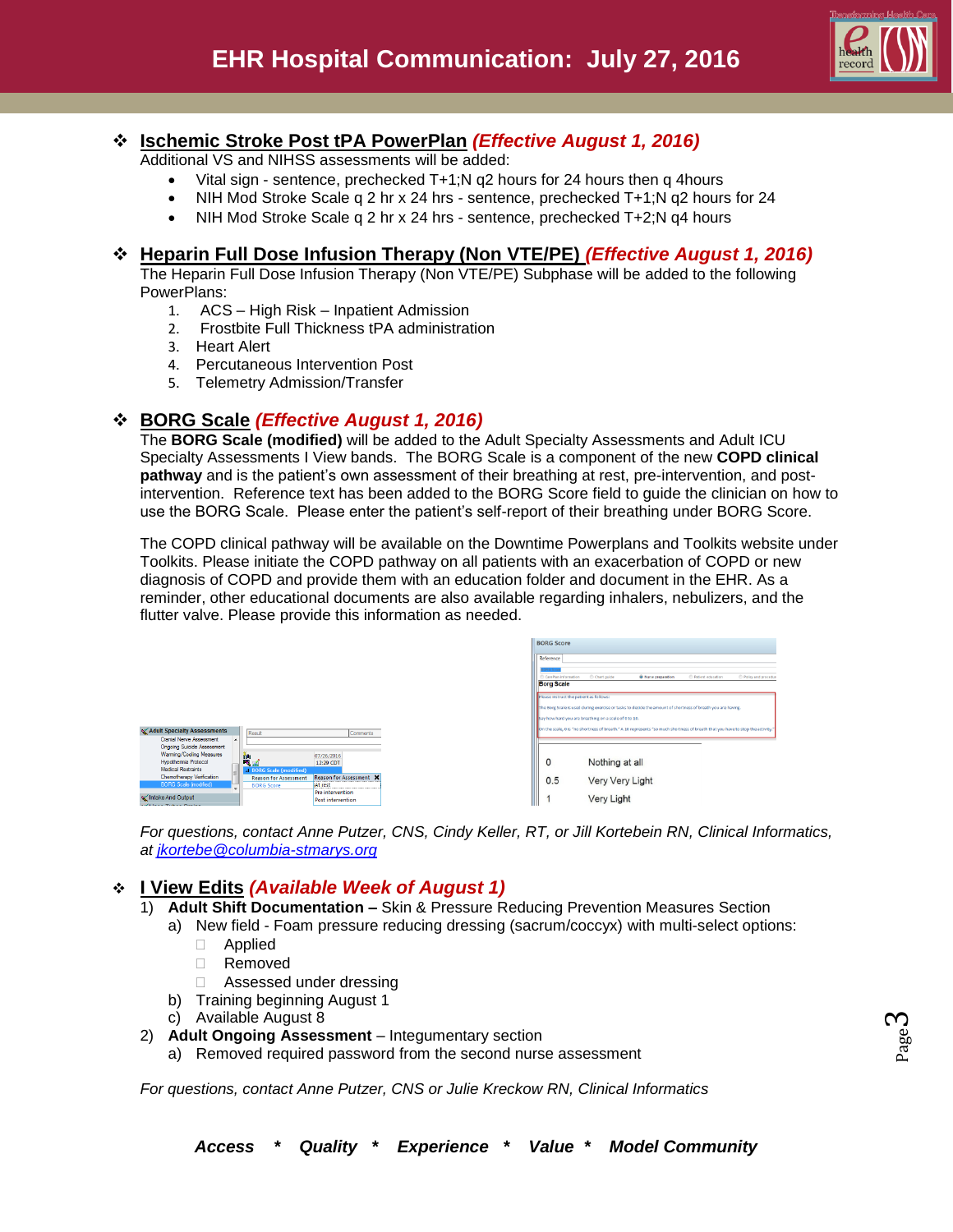

# **Ischemic Stroke Post tPA PowerPlan** *(Effective August 1, 2016)*

Additional VS and NIHSS assessments will be added:

- Vital sign sentence, prechecked T+1;N q2 hours for 24 hours then q 4hours
- NIH Mod Stroke Scale q 2 hr x 24 hrs sentence, prechecked T+1;N q2 hours for 24
- NIH Mod Stroke Scale q 2 hr x 24 hrs sentence, prechecked T+2;N q4 hours

#### **Heparin Full Dose Infusion Therapy (Non VTE/PE)** *(Effective August 1, 2016)*

The Heparin Full Dose Infusion Therapy (Non VTE/PE) Subphase will be added to the following PowerPlans:

- 1. ACS High Risk Inpatient Admission
- 2. Frostbite Full Thickness tPA administration
- 3. Heart Alert
- 4. Percutaneous Intervention Post
- 5. Telemetry Admission/Transfer

### **BORG Scale** *(Effective August 1, 2016)*

The **BORG Scale (modified)** will be added to the Adult Specialty Assessments and Adult ICU Specialty Assessments I View bands. The BORG Scale is a component of the new **COPD clinical pathway** and is the patient's own assessment of their breathing at rest, pre-intervention, and postintervention. Reference text has been added to the BORG Score field to guide the clinician on how to use the BORG Scale. Please enter the patient's self-report of their breathing under BORG Score.

The COPD clinical pathway will be available on the Downtime Powerplans and Toolkits website under Toolkits. Please initiate the COPD pathway on all patients with an exacerbation of COPD or new diagnosis of COPD and provide them with an education folder and document in the EHR. As a reminder, other educational documents are also available regarding inhalers, nebulizers, and the flutter valve. Please provide this information as needed.





*For questions, contact Anne Putzer, CNS, Cindy Keller, RT, or Jill Kortebein RN, Clinical Informatics, at [jkortebe@columbia-stmarys.org](mailto:jkortebe@columbia-stmarys.org)*

## **I View Edits** *(Available Week of August 1)*

- 1) **Adult Shift Documentation –** Skin & Pressure Reducing Prevention Measures Section
	- a) New field Foam pressure reducing dressing (sacrum/coccyx) with multi-select options:
		- Applied
		- Removed
		- □ Assessed under dressing
		- b) Training beginning August 1
		- c) Available August 8
- 2) **Adult Ongoing Assessment** Integumentary section
	- a) Removed required password from the second nurse assessment

*For questions, contact Anne Putzer, CNS or Julie Kreckow RN, Clinical Informatics*